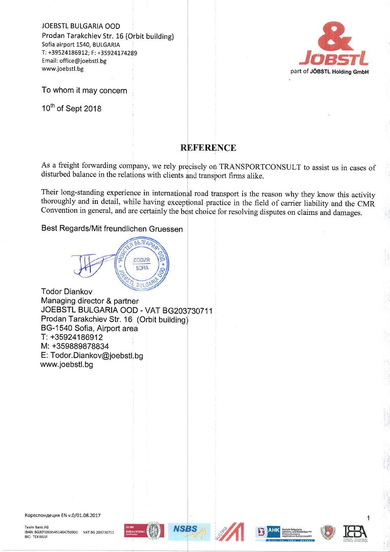JOEBSTL BULGARIA OOD Prodan Tarakchiev Str. 16 (Orbit building) Sofia airport 1540, BULGARIA T: +395241869L2; F: +35924174289 Email: office@joebstl.bg www.joebstl.bg



To whom it may concern

10<sup>th</sup> of Sept 2018

## **REFERENCE**

As a freight forwarding company, we rely precisely on TRANSPORTCONSULT to assist us in cases of disturbed balance in the relations with clients and transport firms alike.

Their long-standing experience in international road transport is the reason why they know this activity thoroughly and in detail, while having exceptional practice in the field of carrier liability and the CMR Convention in general, and are certainly the best choice for resolving disputes on claims and damages.

## Best Regards/Mit freundliohen Gruessen

БЪЛГАД софия SOFIA **BIAGE** 

Todor Diankov Managing director & partner JOEBSTL BULGARIA OOD - VAT BG203730711 Prodan Tarakchiev Str. 16 (Orbit building BG-1540 Sofia, Airport area T: +35924186912 M: +359639878834 E: Todor.Diankov@joebstl.bg www.joebstl.bg

Кореспондеция EN v.0/01.08.2017